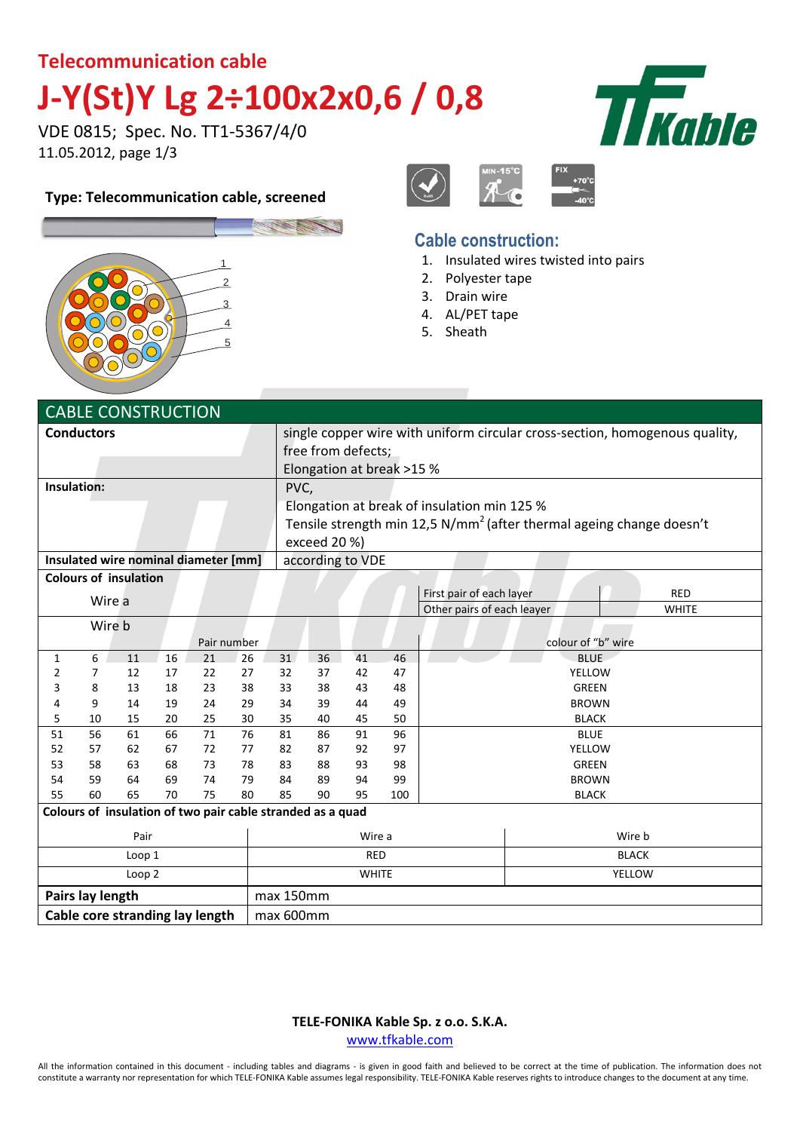### **Telecommunication cable J-Y(St)Y Lg 2÷100x2x0,6 / 0,8**

VDE 0815; Spec. No. TT1-5367/4/0 11.05.2012, page 1/3

#### **Type: Telecommunication cable, screened**





#### **Cable construction:**

- 1. Insulated wires twisted into pairs
- 2. Polyester tape
- 3. Drain wire
- 4. AL/PET tape
- 5. Sheath

| <b>CABLE CONSTRUCTION</b> |                                 |                                      |          |                                                                             |                                                                                  |                                             |          |                            |          |                              |                    |            |
|---------------------------|---------------------------------|--------------------------------------|----------|-----------------------------------------------------------------------------|----------------------------------------------------------------------------------|---------------------------------------------|----------|----------------------------|----------|------------------------------|--------------------|------------|
| <b>Conductors</b>         |                                 |                                      |          | single copper wire with uniform circular cross-section, homogenous quality, |                                                                                  |                                             |          |                            |          |                              |                    |            |
|                           |                                 |                                      |          |                                                                             | free from defects;                                                               |                                             |          |                            |          |                              |                    |            |
|                           |                                 |                                      |          |                                                                             | Elongation at break >15 %                                                        |                                             |          |                            |          |                              |                    |            |
| Insulation:               |                                 |                                      |          |                                                                             | PVC,                                                                             |                                             |          |                            |          |                              |                    |            |
|                           |                                 |                                      |          |                                                                             |                                                                                  | Elongation at break of insulation min 125 % |          |                            |          |                              |                    |            |
|                           |                                 |                                      |          |                                                                             | Tensile strength min 12,5 N/mm <sup>2</sup> (after thermal ageing change doesn't |                                             |          |                            |          |                              |                    |            |
|                           |                                 |                                      |          |                                                                             | exceed 20 %)                                                                     |                                             |          |                            |          |                              |                    |            |
|                           |                                 | Insulated wire nominal diameter [mm] |          |                                                                             |                                                                                  | according to VDE                            |          |                            |          |                              |                    |            |
|                           |                                 | <b>Colours of insulation</b>         |          |                                                                             |                                                                                  |                                             |          |                            |          |                              |                    |            |
|                           |                                 |                                      |          |                                                                             |                                                                                  |                                             |          |                            |          | First pair of each layer     |                    | <b>RED</b> |
|                           | Wire a                          |                                      |          |                                                                             |                                                                                  |                                             |          | Other pairs of each leayer |          | <b>WHITE</b>                 |                    |            |
|                           | Wire b                          |                                      |          |                                                                             |                                                                                  |                                             |          |                            |          |                              |                    |            |
|                           |                                 |                                      |          | Pair number                                                                 |                                                                                  |                                             |          |                            |          |                              | colour of "b" wire |            |
| 1                         | 6                               | 11                                   | 16       | 21                                                                          | 26                                                                               | 31                                          | 36       | 41                         | 46       | <b>BLUE</b>                  |                    |            |
| 2                         | 7                               | 12                                   | 17       | 22                                                                          | 27                                                                               | 32                                          | 37       | 42                         | 47       | YELLOW                       |                    |            |
| 3                         | 8                               | 13                                   | 18       | 23                                                                          | 38                                                                               | 33                                          | 38       | 43                         | 48       | <b>GREEN</b>                 |                    |            |
| 4<br>5                    | 9<br>10                         | 14<br>15                             | 19<br>20 | 24<br>25                                                                    | 29<br>30                                                                         | 34<br>35                                    | 39<br>40 | 44<br>45                   | 49<br>50 | <b>BROWN</b><br><b>BLACK</b> |                    |            |
| 51                        | 56                              | 61                                   | 66       | 71                                                                          | 76                                                                               | 81                                          | 86       | 91                         | 96       | <b>BLUE</b>                  |                    |            |
| 52                        | 57                              | 62                                   | 67       | 72                                                                          | 77                                                                               | 82                                          | 87       | 92                         | 97       | <b>YELLOW</b>                |                    |            |
| 53                        | 58                              | 63                                   | 68       | 73                                                                          | 78                                                                               | 83                                          | 88       | 93                         | 98       | <b>GREEN</b>                 |                    |            |
| 54                        | 59                              | 64                                   | 69       | 74                                                                          | 79                                                                               | 84                                          | 89       | 94                         | 99       | <b>BROWN</b>                 |                    |            |
| 55                        | 60                              | 65                                   | 70       | 75                                                                          | 80                                                                               | 85                                          | 90       | 95                         | 100      | <b>BLACK</b>                 |                    |            |
|                           |                                 |                                      |          |                                                                             | Colours of insulation of two pair cable stranded as a quad                       |                                             |          |                            |          |                              |                    |            |
| Pair                      |                                 |                                      |          |                                                                             | Wire a                                                                           |                                             |          |                            |          | Wire b                       |                    |            |
| Loop 1                    |                                 |                                      |          |                                                                             | <b>RED</b>                                                                       |                                             |          |                            |          | <b>BLACK</b>                 |                    |            |
| Loop <sub>2</sub>         |                                 |                                      |          | <b>WHITE</b>                                                                |                                                                                  |                                             |          |                            | YELLOW   |                              |                    |            |
|                           | Pairs lay length                |                                      |          |                                                                             | max 150mm                                                                        |                                             |          |                            |          |                              |                    |            |
|                           | Cable core stranding lay length |                                      |          |                                                                             | max 600mm                                                                        |                                             |          |                            |          |                              |                    |            |
|                           |                                 |                                      |          |                                                                             |                                                                                  |                                             |          |                            |          |                              |                    |            |

#### **TELE-FONIKA Kable Sp. z o.o. S.K.A.** www.tfkable.com

All the information contained in this document - including tables and diagrams - is given in good faith and believed to be correct at the time of publication. The information does not constitute a warranty nor representation for which TELE-FONIKA Kable assumes legal responsibility. TELE-FONIKA Kable reserves rights to introduce changes to the document at any time.

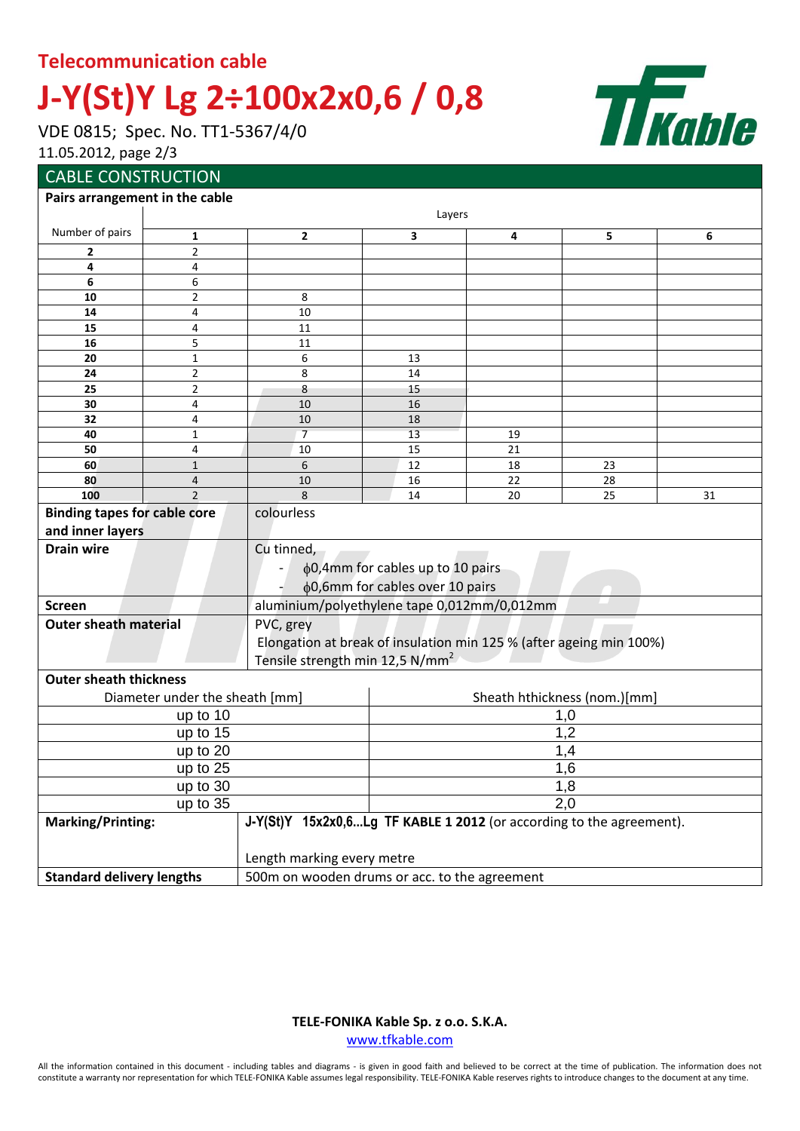#### **Telecommunication cable**

# **J-Y(St)Y Lg 2÷100x2x0,6 / 0,8**

VDE 0815; Spec. No. TT1-5367/4/0

11.05.2012, page 2/3

# **TI Kable**

| <b>CABLE CONSTRUCTION</b>           |                                |                                                                      |                              |     |    |    |  |  |  |  |
|-------------------------------------|--------------------------------|----------------------------------------------------------------------|------------------------------|-----|----|----|--|--|--|--|
| Pairs arrangement in the cable      |                                |                                                                      |                              |     |    |    |  |  |  |  |
|                                     | Layers                         |                                                                      |                              |     |    |    |  |  |  |  |
| Number of pairs                     | 1                              | $\overline{\mathbf{c}}$                                              | 3                            | 4   | 5  | 6  |  |  |  |  |
| 2                                   | $\overline{2}$                 |                                                                      |                              |     |    |    |  |  |  |  |
| 4                                   | 4                              |                                                                      |                              |     |    |    |  |  |  |  |
| 6                                   | 6                              |                                                                      |                              |     |    |    |  |  |  |  |
| 10                                  | $\overline{2}$                 | 8                                                                    |                              |     |    |    |  |  |  |  |
| 14                                  | 4                              | 10                                                                   |                              |     |    |    |  |  |  |  |
| 15                                  | 4                              | 11                                                                   |                              |     |    |    |  |  |  |  |
| 16                                  | 5                              | 11                                                                   |                              |     |    |    |  |  |  |  |
| 20                                  | $\mathbf{1}$                   | 6                                                                    | 13                           |     |    |    |  |  |  |  |
| 24                                  | $\overline{2}$                 | 8                                                                    | 14                           |     |    |    |  |  |  |  |
| 25                                  | $\overline{2}$                 | 8                                                                    | 15                           |     |    |    |  |  |  |  |
| 30                                  | 4                              | 10                                                                   | 16                           |     |    |    |  |  |  |  |
| 32                                  | 4                              | 10                                                                   | 18                           |     |    |    |  |  |  |  |
| 40                                  | $\mathbf{1}$                   | $\overline{7}$                                                       | 13                           | 19  |    |    |  |  |  |  |
| 50                                  | 4                              | 10                                                                   | 15                           | 21  |    |    |  |  |  |  |
| 60                                  | $\mathbf{1}$                   | 6                                                                    | 12                           | 18  | 23 |    |  |  |  |  |
| 80                                  | 4                              | 10                                                                   | 16                           | 22  | 28 |    |  |  |  |  |
| 100                                 | $\overline{2}$                 | 8                                                                    | 14                           | 20  | 25 | 31 |  |  |  |  |
| <b>Binding tapes for cable core</b> |                                |                                                                      | colourless                   |     |    |    |  |  |  |  |
| and inner layers                    |                                |                                                                      |                              |     |    |    |  |  |  |  |
| <b>Drain wire</b>                   |                                | Cu tinned,                                                           |                              |     |    |    |  |  |  |  |
|                                     |                                | φ0,4mm for cables up to 10 pairs                                     |                              |     |    |    |  |  |  |  |
|                                     |                                | φ0,6mm for cables over 10 pairs                                      |                              |     |    |    |  |  |  |  |
| <b>Screen</b>                       |                                | aluminium/polyethylene tape 0,012mm/0,012mm                          |                              |     |    |    |  |  |  |  |
| <b>Outer sheath material</b>        |                                | PVC, grey                                                            |                              |     |    |    |  |  |  |  |
|                                     |                                | Elongation at break of insulation min 125 % (after ageing min 100%)  |                              |     |    |    |  |  |  |  |
|                                     |                                |                                                                      |                              |     |    |    |  |  |  |  |
|                                     |                                | Tensile strength min 12,5 N/mm <sup>2</sup>                          |                              |     |    |    |  |  |  |  |
| <b>Outer sheath thickness</b>       |                                |                                                                      |                              |     |    |    |  |  |  |  |
|                                     | Diameter under the sheath [mm] |                                                                      | Sheath hthickness (nom.)[mm] |     |    |    |  |  |  |  |
|                                     | up to 10                       | 1,0                                                                  |                              |     |    |    |  |  |  |  |
|                                     | up to 15                       |                                                                      |                              | 1,2 |    |    |  |  |  |  |
|                                     | up to 20                       |                                                                      | 1,4<br>1,6                   |     |    |    |  |  |  |  |
|                                     | up to 25                       |                                                                      |                              |     |    |    |  |  |  |  |
|                                     | up to 30                       |                                                                      | 1,8                          |     |    |    |  |  |  |  |
|                                     | up to 35                       | 2,0                                                                  |                              |     |    |    |  |  |  |  |
| <b>Marking/Printing:</b>            |                                | J-Y(St)Y 15x2x0,6Lg TF KABLE 1 2012 (or according to the agreement). |                              |     |    |    |  |  |  |  |
|                                     |                                |                                                                      |                              |     |    |    |  |  |  |  |
|                                     |                                | Length marking every metre                                           |                              |     |    |    |  |  |  |  |
| <b>Standard delivery lengths</b>    |                                | 500m on wooden drums or acc. to the agreement                        |                              |     |    |    |  |  |  |  |

**TELE-FONIKA Kable Sp. z o.o. S.K.A.** www.tfkable.com

All the information contained in this document - including tables and diagrams - is given in good faith and believed to be correct at the time of publication. The information does not constitute a warranty nor representation for which TELE-FONIKA Kable assumes legal responsibility. TELE-FONIKA Kable reserves rights to introduce changes to the document at any time.